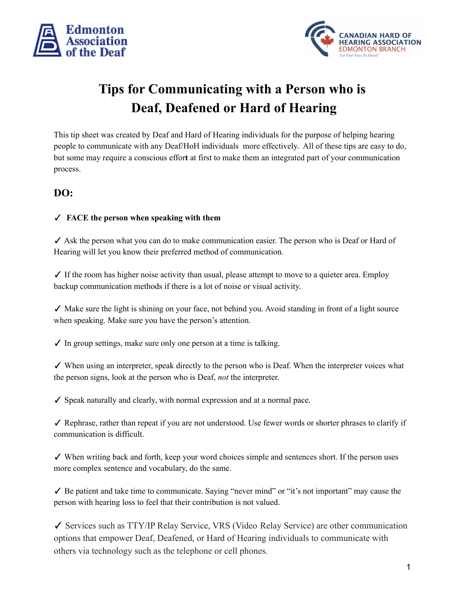



# **Tips for Communicating with a Person who is Deaf, Deafened or Hard of Hearing**

This tip sheet was created by Deaf and Hard of Hearing individuals for the purpose of helping hearing people to communicate with any Deaf/HoH individuals more effectively. All of these tips are easy to do, but some may require a conscious effor**t** at first to make them an integrated part of your communication process.

### **DO:**

#### ✓ **FACE the person when speaking with them**

✓ Ask the person what you can do to make communication easier. The person who is Deaf or Hard of Hearing will let you know their preferred method of communication.

✓ If the room has higher noise activity than usual, please attempt to move to a quieter area. Employ backup communication methods if there is a lot of noise or visual activity.

✓ Make sure the light is shining on your face, not behind you. Avoid standing in front of a light source when speaking. Make sure you have the person's attention.

 $\checkmark$  In group settings, make sure only one person at a time is talking.

✓ When using an interpreter, speak directly to the person who is Deaf. When the interpreter voices what the person signs, look at the person who is Deaf, *not* the interpreter.

✓ Speak naturally and clearly, with normal expression and at a normal pace.

✓ Rephrase, rather than repeat if you are not understood. Use fewer words or shorter phrases to clarify if communication is difficult.

✓ When writing back and forth, keep your word choices simple and sentences short. If the person uses more complex sentence and vocabulary, do the same.

 $\checkmark$  Be patient and take time to communicate. Saying "never mind" or "it's not important" may cause the person with hearing loss to feel that their contribution is not valued.

✓ Services such as TTY/IP Relay Service, VRS (Video Relay Service) are other communication options that empower Deaf, Deafened, or Hard of Hearing individuals to communicate with others via technology such as the telephone or cell phones.